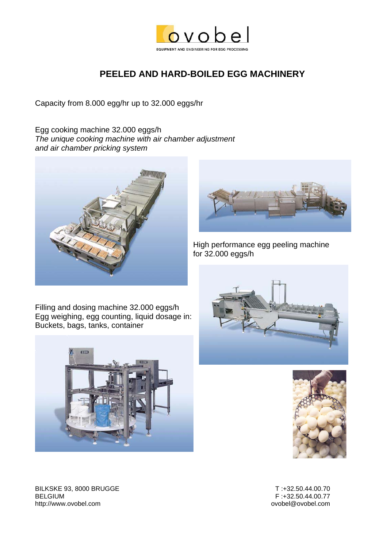

#### **PEELED AND HARD-BOILED EGG MACHINERY**

Capacity from 8.000 egg/hr up to 32.000 eggs/hr

Egg cooking machine 32.000 eggs/h *The unique cooking machine with air chamber adjustment and air chamber pricking system* 





High performance egg peeling machine for 32.000 eggs/h

Filling and dosing machine 32.000 eggs/h Egg weighing, egg counting, liquid dosage in: Buckets, bags, tanks, container







BILKSKE 93, 8000 BRUGGE T :+32.50.44.00.70 BELGIUM F :+32.50.44.00.77 http://www.ovobel.com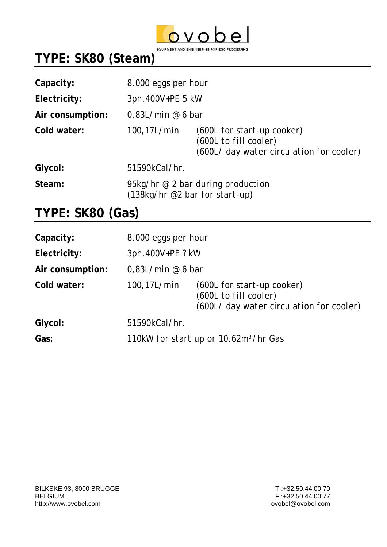

## **TYPE: SK80 (Steam)**

| Capacity:        | 8.000 eggs per hour                                                   |                                                                                                 |
|------------------|-----------------------------------------------------------------------|-------------------------------------------------------------------------------------------------|
| Electricity:     | 3ph.400V+PE 5 kW                                                      |                                                                                                 |
| Air consumption: | 0.83L/min @ 6 bar                                                     |                                                                                                 |
| Cold water:      | 100,17L/min                                                           | (600L for start-up cooker)<br>(600L to fill cooler)<br>(600L/ day water circulation for cooler) |
| Glycol:          | 51590kCal/hr.                                                         |                                                                                                 |
| Steam:           | 95kg/hr $@$ 2 bar during production<br>(138kg/hr @2 bar for start-up) |                                                                                                 |

#### **TYPE: SK80 (Gas)**

| Capacity:        | 8.000 eggs per hour                               |                                                                                                 |
|------------------|---------------------------------------------------|-------------------------------------------------------------------------------------------------|
| Electricity:     | 3ph.400V+PE ? kW                                  |                                                                                                 |
| Air consumption: | 0.83L/min @ 6 bar                                 |                                                                                                 |
| Cold water:      | 100,17L/min                                       | (600L for start-up cooker)<br>(600L to fill cooler)<br>(600L/ day water circulation for cooler) |
| Glycol:          | 51590kCal/hr.                                     |                                                                                                 |
| Gas:             | 110kW for start up or 10,62m <sup>3</sup> /hr Gas |                                                                                                 |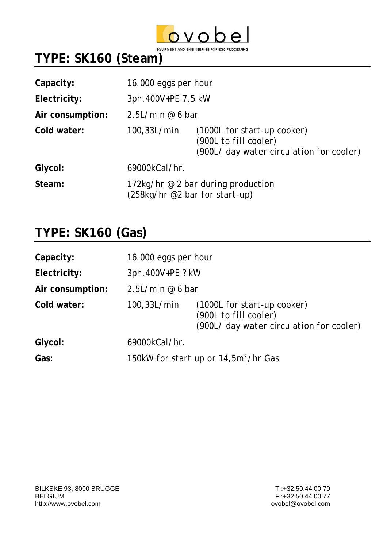

# **TYPE: SK160 (Steam)**

| Capacity:        | 16.000 eggs per hour                                                   |                                                                                                  |
|------------------|------------------------------------------------------------------------|--------------------------------------------------------------------------------------------------|
| Electricity:     | 3ph.400V+PE 7,5 kW                                                     |                                                                                                  |
| Air consumption: | 2,5L/min @ 6 bar                                                       |                                                                                                  |
| Cold water:      | $100, 33$ L/min                                                        | (1000L for start-up cooker)<br>(900L to fill cooler)<br>(900L/ day water circulation for cooler) |
| Glycol:          | 69000kCal/hr.                                                          |                                                                                                  |
| Steam:           | 172kg/hr $@$ 2 bar during production<br>(258kg/hr @2 bar for start-up) |                                                                                                  |

#### **TYPE: SK160 (Gas)**

| Capacity:        | 16.000 eggs per hour                             |                                                                                                  |
|------------------|--------------------------------------------------|--------------------------------------------------------------------------------------------------|
| Electricity:     | 3ph.400V+PE ? kW                                 |                                                                                                  |
| Air consumption: | 2,5L/min @ 6 bar                                 |                                                                                                  |
| Cold water:      | 100,33L/min                                      | (1000L for start-up cooker)<br>(900L to fill cooler)<br>(900L/ day water circulation for cooler) |
| Glycol:          | 69000kCal/hr.                                    |                                                                                                  |
| Gas:             | 150kW for start up or 14,5m <sup>3</sup> /hr Gas |                                                                                                  |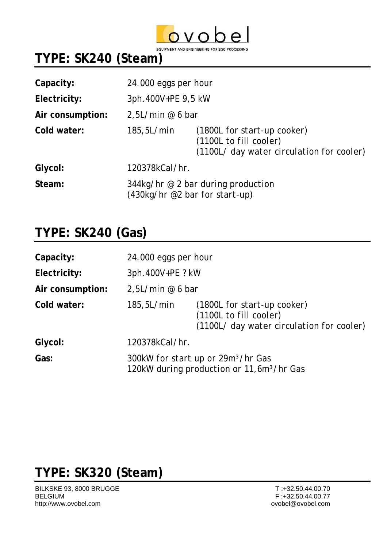

EQUIPMENT AND ENGINEERING FOR EGG PROCESSING

### **TYPE: SK240 (Steam)**

| Capacity:        | 24.000 eggs per hour                                                        |                                                                                                    |
|------------------|-----------------------------------------------------------------------------|----------------------------------------------------------------------------------------------------|
| Electricity:     | 3ph.400V+PE 9,5 kW                                                          |                                                                                                    |
| Air consumption: | 2,5L/min @ 6 bar                                                            |                                                                                                    |
| Cold water:      | 185,5L/min                                                                  | (1800L for start-up cooker)<br>(1100L to fill cooler)<br>(1100L/ day water circulation for cooler) |
| Glycol:          | 120378kCal/hr.                                                              |                                                                                                    |
| Steam:           | $344$ kg/hr @ 2 bar during production<br>$(430kg/hr \ @2 bar for start-up)$ |                                                                                                    |

### **TYPE: SK240 (Gas)**

| Capacity:        | 24.000 eggs per hour                                                                                    |                                                                                                    |
|------------------|---------------------------------------------------------------------------------------------------------|----------------------------------------------------------------------------------------------------|
| Electricity:     | 3ph.400V+PE ? kW                                                                                        |                                                                                                    |
| Air consumption: | 2,5L/min @ 6 bar                                                                                        |                                                                                                    |
| Cold water:      | <i>185,5L/min</i>                                                                                       | (1800L for start-up cooker)<br>(1100L to fill cooler)<br>(1100L/ day water circulation for cooler) |
| Glycol:          | 120378kCal/hr.                                                                                          |                                                                                                    |
| Gas:             | 300kW for start up or 29m <sup>3</sup> /hr Gas<br>120kW during production or 11,6m <sup>3</sup> /hr Gas |                                                                                                    |

### **TYPE: SK320 (Steam)**

BILKSKE 93, 8000 BRUGGE T :+32.50.44.00.70 BELGIUM F :+32.50.44.00.77 http://www.ovobel.com